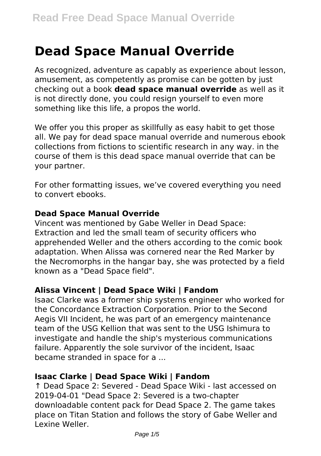# **Dead Space Manual Override**

As recognized, adventure as capably as experience about lesson, amusement, as competently as promise can be gotten by just checking out a book **dead space manual override** as well as it is not directly done, you could resign yourself to even more something like this life, a propos the world.

We offer you this proper as skillfully as easy habit to get those all. We pay for dead space manual override and numerous ebook collections from fictions to scientific research in any way. in the course of them is this dead space manual override that can be your partner.

For other formatting issues, we've covered everything you need to convert ebooks.

## **Dead Space Manual Override**

Vincent was mentioned by Gabe Weller in Dead Space: Extraction and led the small team of security officers who apprehended Weller and the others according to the comic book adaptation. When Alissa was cornered near the Red Marker by the Necromorphs in the hangar bay, she was protected by a field known as a "Dead Space field".

# **Alissa Vincent | Dead Space Wiki | Fandom**

Isaac Clarke was a former ship systems engineer who worked for the Concordance Extraction Corporation. Prior to the Second Aegis VII Incident, he was part of an emergency maintenance team of the USG Kellion that was sent to the USG Ishimura to investigate and handle the ship's mysterious communications failure. Apparently the sole survivor of the incident, Isaac became stranded in space for a ...

# **Isaac Clarke | Dead Space Wiki | Fandom**

↑ Dead Space 2: Severed - Dead Space Wiki - last accessed on 2019-04-01 "Dead Space 2: Severed is a two-chapter downloadable content pack for Dead Space 2. The game takes place on Titan Station and follows the story of Gabe Weller and Lexine Weller.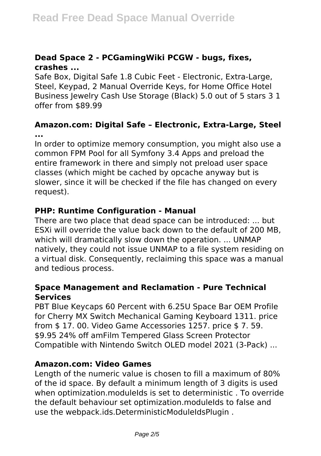# **Dead Space 2 - PCGamingWiki PCGW - bugs, fixes, crashes ...**

Safe Box, Digital Safe 1.8 Cubic Feet - Electronic, Extra-Large, Steel, Keypad, 2 Manual Override Keys, for Home Office Hotel Business Jewelry Cash Use Storage (Black) 5.0 out of 5 stars 3 1 offer from \$89.99

# **Amazon.com: Digital Safe – Electronic, Extra-Large, Steel ...**

In order to optimize memory consumption, you might also use a common FPM Pool for all Symfony 3.4 Apps and preload the entire framework in there and simply not preload user space classes (which might be cached by opcache anyway but is slower, since it will be checked if the file has changed on every request).

# **PHP: Runtime Configuration - Manual**

There are two place that dead space can be introduced: ... but ESXi will override the value back down to the default of 200 MB, which will dramatically slow down the operation. ... UNMAP natively, they could not issue UNMAP to a file system residing on a virtual disk. Consequently, reclaiming this space was a manual and tedious process.

## **Space Management and Reclamation - Pure Technical Services**

PBT Blue Keycaps 60 Percent with 6.25U Space Bar OEM Profile for Cherry MX Switch Mechanical Gaming Keyboard 1311. price from \$ 17. 00. Video Game Accessories 1257. price \$ 7. 59. \$9.95 24% off amFilm Tempered Glass Screen Protector Compatible with Nintendo Switch OLED model 2021 (3-Pack) ...

#### **Amazon.com: Video Games**

Length of the numeric value is chosen to fill a maximum of 80% of the id space. By default a minimum length of 3 digits is used when optimization.moduleIds is set to deterministic. To override the default behaviour set optimization.moduleIds to false and use the webpack.ids.DeterministicModuleIdsPlugin .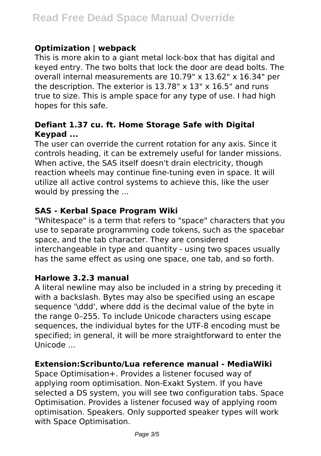# **Optimization | webpack**

This is more akin to a giant metal lock-box that has digital and keyed entry. The two bolts that lock the door are dead bolts. The overall internal measurements are 10.79" x 13.62" x 16.34" per the description. The exterior is  $13.78" \times 13" \times 16.5"$  and runs true to size. This is ample space for any type of use. I had high hopes for this safe.

# **Defiant 1.37 cu. ft. Home Storage Safe with Digital Keypad ...**

The user can override the current rotation for any axis. Since it controls heading, it can be extremely useful for lander missions. When active, the SAS itself doesn't drain electricity, though reaction wheels may continue fine-tuning even in space. It will utilize all active control systems to achieve this, like the user would by pressing the ...

# **SAS - Kerbal Space Program Wiki**

"Whitespace" is a term that refers to "space" characters that you use to separate programming code tokens, such as the spacebar space, and the tab character. They are considered interchangeable in type and quantity - using two spaces usually has the same effect as using one space, one tab, and so forth.

#### **Harlowe 3.2.3 manual**

A literal newline may also be included in a string by preceding it with a backslash. Bytes may also be specified using an escape sequence '\ddd', where ddd is the decimal value of the byte in the range 0–255. To include Unicode characters using escape sequences, the individual bytes for the UTF-8 encoding must be specified; in general, it will be more straightforward to enter the Unicode ...

#### **Extension:Scribunto/Lua reference manual - MediaWiki**

Space Optimisation+. Provides a listener focused way of applying room optimisation. Non-Exakt System. If you have selected a DS system, you will see two configuration tabs. Space Optimisation. Provides a listener focused way of applying room optimisation. Speakers. Only supported speaker types will work with Space Optimisation.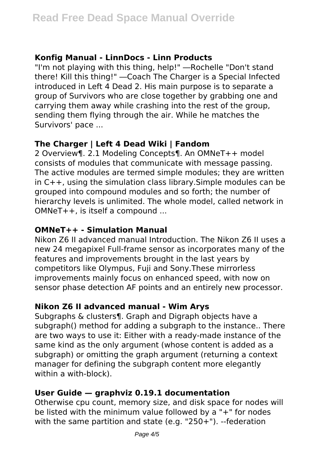# **Konfig Manual - LinnDocs - Linn Products**

"I'm not playing with this thing, help!" ―Rochelle "Don't stand there! Kill this thing!" ―Coach The Charger is a Special Infected introduced in Left 4 Dead 2. His main purpose is to separate a group of Survivors who are close together by grabbing one and carrying them away while crashing into the rest of the group, sending them flying through the air. While he matches the Survivors' pace ...

# **The Charger | Left 4 Dead Wiki | Fandom**

2 Overview¶. 2.1 Modeling Concepts¶. An OMNeT++ model consists of modules that communicate with message passing. The active modules are termed simple modules; they are written in C++, using the simulation class library.Simple modules can be grouped into compound modules and so forth; the number of hierarchy levels is unlimited. The whole model, called network in OMNeT++, is itself a compound ...

# **OMNeT++ - Simulation Manual**

Nikon Z6 II advanced manual Introduction. The Nikon Z6 II uses a new 24 megapixel Full-frame sensor as incorporates many of the features and improvements brought in the last years by competitors like Olympus, Fuji and Sony.These mirrorless improvements mainly focus on enhanced speed, with now on sensor phase detection AF points and an entirely new processor.

# **Nikon Z6 II advanced manual - Wim Arys**

Subgraphs & clusters¶. Graph and Digraph objects have a subgraph() method for adding a subgraph to the instance.. There are two ways to use it: Either with a ready-made instance of the same kind as the only argument (whose content is added as a subgraph) or omitting the graph argument (returning a context manager for defining the subgraph content more elegantly within a with-block).

# **User Guide — graphviz 0.19.1 documentation**

Otherwise cpu count, memory size, and disk space for nodes will be listed with the minimum value followed by a "+" for nodes with the same partition and state (e.g. "250+"). --federation